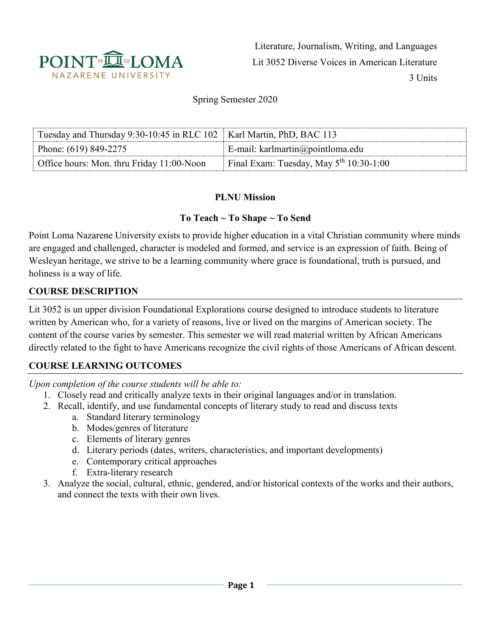

Literature, Journalism, Writing, and Languages Lit 3052 Diverse Voices in American Literature 3 Units

Spring Semester 2020

| Tuesday and Thursday 9:30-10:45 in RLC 102   Karl Martin, PhD, BAC 113 |                                           |
|------------------------------------------------------------------------|-------------------------------------------|
| Phone: $(619) 849 - 2275$                                              | E-mail: karlmartin@pointloma.edu          |
| Office hours: Mon. thru Friday 11:00-Noon                              | Final Exam: Tuesday, May $5th 10:30-1:00$ |

#### **PLNU Mission**

#### **To Teach ~ To Shape ~ To Send**

Point Loma Nazarene University exists to provide higher education in a vital Christian community where minds are engaged and challenged, character is modeled and formed, and service is an expression of faith. Being of Wesleyan heritage, we strive to be a learning community where grace is foundational, truth is pursued, and holiness is a way of life.

### **COURSE DESCRIPTION**

Lit 3052 is un upper division Foundational Explorations course designed to introduce students to literature written by American who, for a variety of reasons, live or lived on the margins of American society. The content of the course varies by semester. This semester we will read material written by African Americans directly related to the fight to have Americans recognize the civil rights of those Americans of African descent.

#### **COURSE LEARNING OUTCOMES**

*Upon completion of the course students will be able to:*

- 1. Closely read and critically analyze texts in their original languages and/or in translation.
- 2. Recall, identify, and use fundamental concepts of literary study to read and discuss texts
	- a. Standard literary terminology
	- b. Modes/genres of literature
	- c. Elements of literary genres
	- d. Literary periods (dates, writers, characteristics, and important developments)
	- e. Contemporary critical approaches
	- f. Extra-literary research
- 3. Analyze the social, cultural, ethnic, gendered, and/or historical contexts of the works and their authors, and connect the texts with their own lives.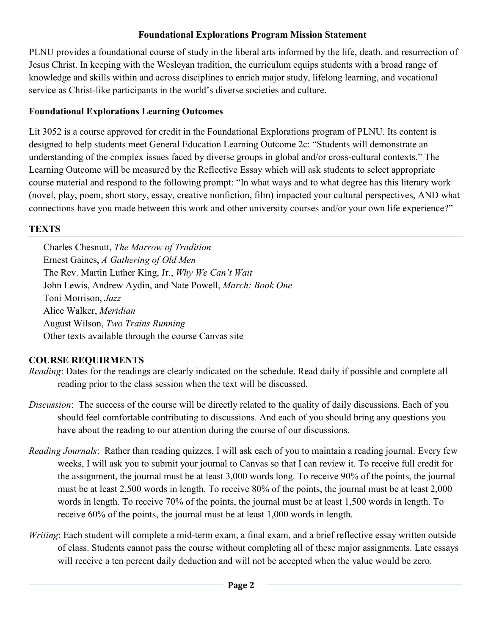### **Foundational Explorations Program Mission Statement**

PLNU provides a foundational course of study in the liberal arts informed by the life, death, and resurrection of Jesus Christ. In keeping with the Wesleyan tradition, the curriculum equips students with a broad range of knowledge and skills within and across disciplines to enrich major study, lifelong learning, and vocational service as Christ-like participants in the world's diverse societies and culture.

#### **Foundational Explorations Learning Outcomes**

Lit 3052 is a course approved for credit in the Foundational Explorations program of PLNU. Its content is designed to help students meet General Education Learning Outcome 2c: "Students will demonstrate an understanding of the complex issues faced by diverse groups in global and/or cross-cultural contexts." The Learning Outcome will be measured by the Reflective Essay which will ask students to select appropriate course material and respond to the following prompt: "In what ways and to what degree has this literary work (novel, play, poem, short story, essay, creative nonfiction, film) impacted your cultural perspectives, AND what connections have you made between this work and other university courses and/or your own life experience?"

#### **TEXTS**

Charles Chesnutt, *The Marrow of Tradition* Ernest Gaines, *A Gathering of Old Men* The Rev. Martin Luther King, Jr., *Why We Can't Wait* John Lewis, Andrew Aydin, and Nate Powell, *March: Book One* Toni Morrison, *Jazz* Alice Walker, *Meridian* August Wilson, *Two Trains Running* Other texts available through the course Canvas site

### **COURSE REQUIRMENTS**

- *Reading*: Dates for the readings are clearly indicated on the schedule. Read daily if possible and complete all reading prior to the class session when the text will be discussed.
- *Discussion*: The success of the course will be directly related to the quality of daily discussions. Each of you should feel comfortable contributing to discussions. And each of you should bring any questions you have about the reading to our attention during the course of our discussions.
- *Reading Journals*: Rather than reading quizzes, I will ask each of you to maintain a reading journal. Every few weeks, I will ask you to submit your journal to Canvas so that I can review it. To receive full credit for the assignment, the journal must be at least 3,000 words long. To receive 90% of the points, the journal must be at least 2,500 words in length. To receive 80% of the points, the journal must be at least 2,000 words in length. To receive 70% of the points, the journal must be at least 1,500 words in length. To receive 60% of the points, the journal must be at least 1,000 words in length.
- *Writing*: Each student will complete a mid-term exam, a final exam, and a brief reflective essay written outside of class. Students cannot pass the course without completing all of these major assignments. Late essays will receive a ten percent daily deduction and will not be accepted when the value would be zero.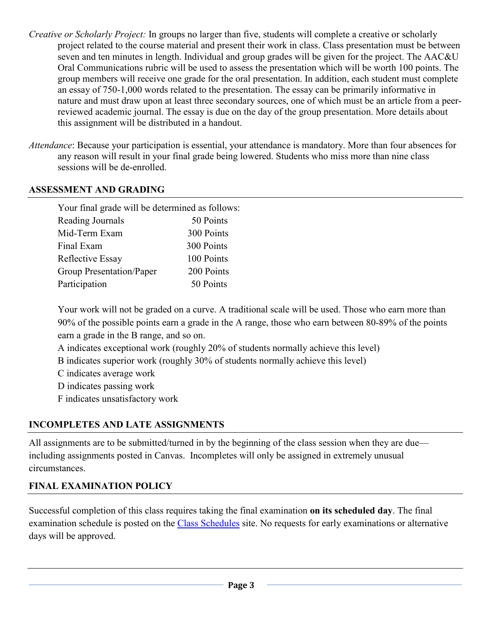- *Creative or Scholarly Project:* In groups no larger than five, students will complete a creative or scholarly project related to the course material and present their work in class. Class presentation must be between seven and ten minutes in length. Individual and group grades will be given for the project. The AAC&U Oral Communications rubric will be used to assess the presentation which will be worth 100 points. The group members will receive one grade for the oral presentation. In addition, each student must complete an essay of 750-1,000 words related to the presentation. The essay can be primarily informative in nature and must draw upon at least three secondary sources, one of which must be an article from a peerreviewed academic journal. The essay is due on the day of the group presentation. More details about this assignment will be distributed in a handout.
- *Attendance*: Because your participation is essential, your attendance is mandatory. More than four absences for any reason will result in your final grade being lowered. Students who miss more than nine class sessions will be de-enrolled.

### **ASSESSMENT AND GRADING**

| Your final grade will be determined as follows: |            |
|-------------------------------------------------|------------|
| <b>Reading Journals</b>                         | 50 Points  |
| Mid-Term Exam                                   | 300 Points |
| Final Exam                                      | 300 Points |
| Reflective Essay                                | 100 Points |
| Group Presentation/Paper                        | 200 Points |
| Participation                                   | 50 Points  |

Your work will not be graded on a curve. A traditional scale will be used. Those who earn more than 90% of the possible points earn a grade in the A range, those who earn between 80-89% of the points earn a grade in the B range, and so on.

- A indicates exceptional work (roughly 20% of students normally achieve this level)
- B indicates superior work (roughly 30% of students normally achieve this level)
- C indicates average work
- D indicates passing work
- F indicates unsatisfactory work

## **INCOMPLETES AND LATE ASSIGNMENTS**

All assignments are to be submitted/turned in by the beginning of the class session when they are due including assignments posted in Canvas. Incompletes will only be assigned in extremely unusual circumstances.

### **FINAL EXAMINATION POLICY**

Successful completion of this class requires taking the final examination **on its scheduled day**. The final examination schedule is posted on the [Class Schedules](http://www.pointloma.edu/experience/academics/class-schedules) site. No requests for early examinations or alternative days will be approved.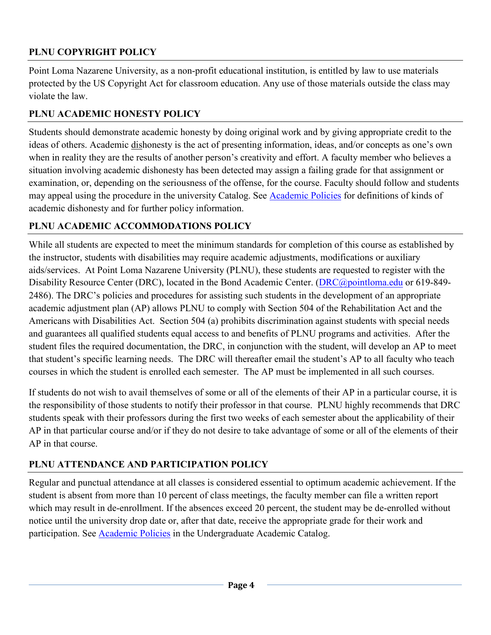## **PLNU COPYRIGHT POLICY**

Point Loma Nazarene University, as a non-profit educational institution, is entitled by law to use materials protected by the US Copyright Act for classroom education. Any use of those materials outside the class may violate the law.

## **PLNU ACADEMIC HONESTY POLICY**

Students should demonstrate academic honesty by doing original work and by giving appropriate credit to the ideas of others. Academic dishonesty is the act of presenting information, ideas, and/or concepts as one's own when in reality they are the results of another person's creativity and effort. A faculty member who believes a situation involving academic dishonesty has been detected may assign a failing grade for that assignment or examination, or, depending on the seriousness of the offense, for the course. Faculty should follow and students may appeal using the procedure in the university Catalog. See [Academic Policies](http://catalog.pointloma.edu/content.php?catoid=18&navoid=1278) for definitions of kinds of academic dishonesty and for further policy information.

## **PLNU ACADEMIC ACCOMMODATIONS POLICY**

While all students are expected to meet the minimum standards for completion of this course as established by the instructor, students with disabilities may require academic adjustments, modifications or auxiliary aids/services. At Point Loma Nazarene University (PLNU), these students are requested to register with the Disability Resource Center (DRC), located in the Bond Academic Center. [\(DRC@pointloma.edu](mailto:DRC@pointloma.edu) or 619-849-2486). The DRC's policies and procedures for assisting such students in the development of an appropriate academic adjustment plan (AP) allows PLNU to comply with Section 504 of the Rehabilitation Act and the Americans with Disabilities Act. Section 504 (a) prohibits discrimination against students with special needs and guarantees all qualified students equal access to and benefits of PLNU programs and activities. After the student files the required documentation, the DRC, in conjunction with the student, will develop an AP to meet that student's specific learning needs. The DRC will thereafter email the student's AP to all faculty who teach courses in which the student is enrolled each semester. The AP must be implemented in all such courses.

If students do not wish to avail themselves of some or all of the elements of their AP in a particular course, it is the responsibility of those students to notify their professor in that course. PLNU highly recommends that DRC students speak with their professors during the first two weeks of each semester about the applicability of their AP in that particular course and/or if they do not desire to take advantage of some or all of the elements of their AP in that course.

# **PLNU ATTENDANCE AND PARTICIPATION POLICY**

Regular and punctual attendance at all classes is considered essential to optimum academic achievement. If the student is absent from more than 10 percent of class meetings, the faculty member can file a written report which may result in de-enrollment. If the absences exceed 20 percent, the student may be de-enrolled without notice until the university drop date or, after that date, receive the appropriate grade for their work and participation. See [Academic Policies](http://catalog.pointloma.edu/content.php?catoid=18&navoid=1278) in the Undergraduate Academic Catalog.